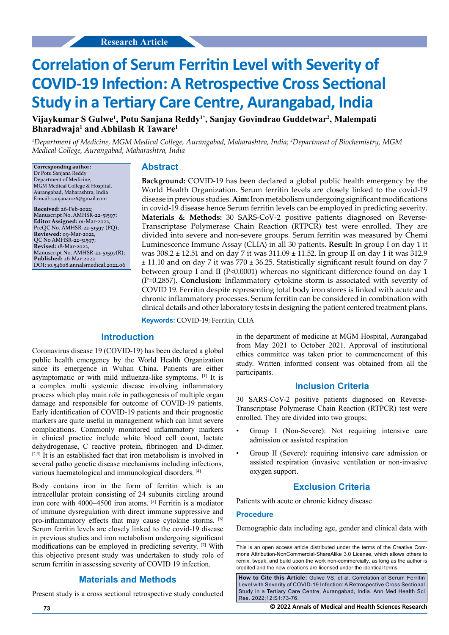# **Correlation of Serum Ferritin Level with Severity of COVID-19 Infection: A Retrospective Cross Sectional Study in a Tertiary Care Centre, Aurangabad, India**

**Vijaykumar S Gulwe1 , Potu Sanjana Reddy1\*, Sanjay Govindrao Guddetwar2 , Malempati Bharadwaja1 and Abhilash R Taware1**

*1 Department of Medicine, MGM Medical College, Aurangabad, Maharashtra, India; 2 Department of Biochemistry, MGM Medical College, Aurangabad, Maharashtra, India*

**Corresponding author:** Dr Potu Sanjana Reddy Department of Medicine, MGM Medical College & Hospital, Aurangabad, Maharashtra, India E-mail: sanjana1226@gmail.com

**Received:** 26-Feb-2022; Manuscript No. AMHSR-22-51597; **Editor Assigned:** 01-Mar-2022, PreQC No. AMHSR-22-51597 (PQ); **Reviewed:** 09-Mar-2022, QC No AMHSR-22-51597; **Revised:** 18-Mar-2022, Manuscript No. AMHSR-22-51597(R); **Published:** 26-Mar-2022 DOI: 10.54608.annalsmedical.2022.06

### **Abstract**

**Background:** COVID-19 has been declared a global public health emergency by the World Health Organization. Serum ferritin levels are closely linked to the covid-19 disease in previous studies. **Aim:** Iron metabolism undergoing significant modifications in covid-19 disease hence Serum ferritin levels can be employed in predicting severity. **Materials & Methods:** 30 SARS-CoV-2 positive patients diagnosed on Reverse-Transcriptase Polymerase Chain Reaction (RTPCR) test were enrolled. They are divided into severe and non-severe groups. Serum ferritin was measured by Chemi Luminescence Immune Assay (CLIA) in all 30 patients. **Result:** In group I on day 1 it was 308.2 ± 12.51 and on day 7 it was 311.09 ± 11.52. In group II on day 1 it was 312.9  $\pm$  11.10 and on day 7 it was 770  $\pm$  36.25. Statistically significant result found on day 7 between group I and II (P<0.0001) whereas no significant difference found on day 1 (P=0.2857). **Conclusion:** Inflammatory cytokine storm is associated with severity of COVID 19. Ferritin despite representing total body iron stores is linked with acute and chronic inflammatory processes. Serum ferritin can be considered in combination with clinical details and other laboratory tests in designing the patient centered treatment plans.

**Keywords:** COVID-19; Ferritin; CLIA

### **Introduction**

Coronavirus disease 19 (COVID-19) has been declared a global public health emergency by the World Health Organization since its emergence in Wuhan China. Patients are either asymptomatic or with mild influenza-like symptoms. [1] It is a complex multi systemic disease involving inflammatory process which play main role in pathogenesis of multiple organ damage and responsible for outcome of COVID-19 patients. Early identification of COVID-19 patients and their prognostic markers are quite useful in management which can limit severe complications. Commonly monitored inflammatory markers in clinical practice include white blood cell count, lactate dehydrogenase, C reactive protein, fibrinogen and D-dimer. [2,3] It is an established fact that iron metabolism is involved in several patho genetic disease mechanisms including infections, various haematological and immunological disorders. [4]

Body contains iron in the form of ferritin which is an intracellular protein consisting of 24 subunits circling around iron core with 4000–4500 iron atoms. [5] Ferritin is a mediator of immune dysregulation with direct immune suppressive and pro-inflammatory effects that may cause cytokine storms. [6] Serum ferritin levels are closely linked to the covid-19 disease in previous studies and iron metabolism undergoing significant modifications can be employed in predicting severity. [7] With this objective present study was undertaken to study role of serum ferritin in assessing severity of COVID 19 infection.

#### **Materials and Methods**

Present study is a cross sectional retrospective study conducted

in the department of medicine at MGM Hospital, Aurangabad from May 2021 to October 2021. Approval of institutional ethics committee was taken prior to commencement of this study. Written informed consent was obtained from all the participants.

### **Inclusion Criteria**

30 SARS-CoV-2 positive patients diagnosed on Reverse-Transcriptase Polymerase Chain Reaction (RTPCR) test were enrolled. They are divided into two groups;

- Group I (Non-Severe): Not requiring intensive care admission or assisted respiration
- Group II (Severe): requiring intensive care admission or assisted respiration (invasive ventilation or non-invasive oxygen support.

### **Exclusion Criteria**

Patients with acute or chronic kidney disease

### **Procedure**

Demographic data including age, gender and clinical data with

This is an open access article distributed under the terms of the Creative Commons Attribution-NonCommercial-ShareAlike 3.0 License, which allows others to remix, tweak, and build upon the work non-commercially, as long as the author is credited and the new creations are licensed under the identical terms.

**How to Cite this Article:** Gulwe VS, et al. Correlation of Serum Ferritin Level with Severity of COVID-19 Infection: A Retrospective Cross Sectional Study in a Tertiary Care Centre, Aurangabad, India. Ann Med Health Sci Res. 2022;12:S1:73-76.

**73 © 2022 Annals of Medical and Health Sciences Research**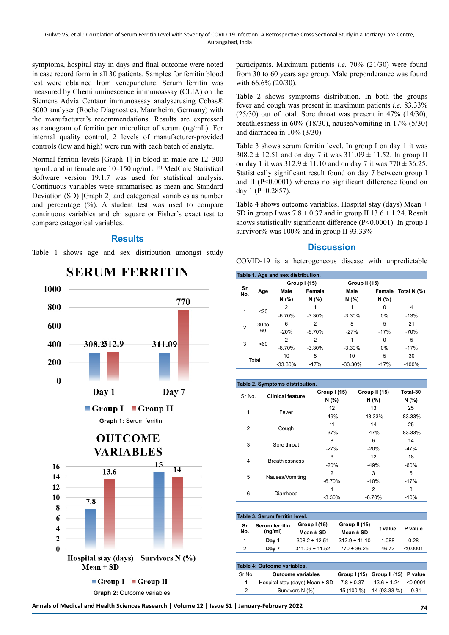symptoms, hospital stay in days and final outcome were noted in case record form in all 30 patients. Samples for ferritin blood test were obtained from venepuncture. Serum ferritin was measured by Chemiluminescence immunoassay (CLIA) on the Siemens Advia Centaur immunoassay analyserusing Cobas® 8000 analyser (Roche Diagnostics, Mannheim, Germany) with the manufacturer's recommendations. Results are expressed as nanogram of ferritin per microliter of serum (ng/mL). For internal quality control, 2 levels of manufacturer-provided controls (low and high) were run with each batch of analyte.

Normal ferritin levels [Graph 1] in blood in male are 12–300 ng/mL and in female are 10–150 ng/mL. [8] MedCalc Statistical Software version 19.1.7 was used for statistical analysis. Continuous variables were summarised as mean and Standard Deviation (SD) [Graph 2] and categorical variables as number and percentage (%). A student test was used to compare continuous variables and chi square or Fisher's exact test to compare categorical variables.

### **Results**

Table 1 shows age and sex distribution amongst study



# **SERUM FERRITIN**

participants. Maximum patients *i.e.* 70% (21/30) were found from 30 to 60 years age group. Male preponderance was found with 66.6% (20/30).

Table 2 shows symptoms distribution. In both the groups fever and cough was present in maximum patients *i.e.* 83.33%  $(25/30)$  out of total. Sore throat was present in 47%  $(14/30)$ , breathlessness in 60% (18/30), nausea/vomiting in 17% (5/30) and diarrhoea in 10% (3/30).

Table 3 shows serum ferritin level. In group I on day 1 it was  $308.2 \pm 12.51$  and on day 7 it was  $311.09 \pm 11.52$ . In group II on day 1 it was  $312.9 \pm 11.10$  and on day 7 it was  $770 \pm 36.25$ . Statistically significant result found on day 7 between group I and II (P<0.0001) whereas no significant difference found on day 1 (P=0.2857).

Table 4 shows outcome variables. Hospital stay (days) Mean  $\pm$ SD in group I was  $7.8 \pm 0.37$  and in group II  $13.6 \pm 1.24$ . Result shows statistically significant difference (P<0.0001). In group I survivor% was 100% and in group II 93.33%

### **Discussion**

COVID-19 is a heterogeneous disease with unpredictable

| Table 1. Age and sex distribution. |                        |                |                |           |               |             |
|------------------------------------|------------------------|----------------|----------------|-----------|---------------|-------------|
| Sr<br>No.                          |                        | Group I (15)   |                |           | Group II (15) |             |
|                                    | Age                    | Male           | Female         | Male      | Female        | Total N (%) |
|                                    |                        | N (%)          | N(% )          | N (%)     | N(%)          |             |
| 1                                  | < 30                   | 2              |                |           | 0             | 4           |
|                                    |                        | $-6.70%$       | $-3.30%$       | $-3.30%$  | $0\%$         | $-13%$      |
| $\overline{2}$                     | 30 <sub>to</sub><br>60 | 6              | 2              | 8         | 5             | 21          |
|                                    |                        | $-20%$         | $-6.70%$       | $-27%$    | $-17%$        | $-70%$      |
| 3                                  | >60                    | $\overline{2}$ | $\overline{2}$ |           | $\Omega$      | 5           |
|                                    |                        | $-6.70%$       | $-3.30%$       | $-3.30%$  | $0\%$         | $-17%$      |
| Total                              |                        | 10             | 5              | 10        | 5             | 30          |
|                                    |                        | $-33.30%$      | $-17%$         | $-33.30%$ | $-17%$        | $-100%$     |

| Table 2. Symptoms distribution. |                         |                             |                            |                   |  |
|---------------------------------|-------------------------|-----------------------------|----------------------------|-------------------|--|
| Sr No.                          | <b>Clinical feature</b> | Group I (15)<br>N (%)       | Group II (15)<br>N(% )     | Total-30<br>N (%) |  |
| $\mathbf{1}$                    | Fever                   | $12 \overline{ }$<br>$-49%$ | 13<br>$-43.33%$            | 25<br>$-83.33%$   |  |
| 2                               | Cough                   | 11<br>$-37%$                | 14<br>$-47%$               | 25<br>$-83.33%$   |  |
| 3                               | Sore throat             | 8<br>$-27%$                 | 6<br>$-20%$                | 14<br>$-47%$      |  |
| 4                               | <b>Breathlessness</b>   | 6<br>$-20%$                 | 12<br>$-49%$               | 18<br>$-60%$      |  |
| 5                               | Nausea/Vomiting         | $\overline{2}$<br>$-6.70%$  | 3<br>$-10%$                | 5<br>$-17%$       |  |
| 6                               | Diarrhoea               | 1<br>$-3.30%$               | $\overline{2}$<br>$-6.70%$ | 3<br>$-10%$       |  |

| Table 3. Serum ferritin level. |                                  |                           |                            |         |          |
|--------------------------------|----------------------------------|---------------------------|----------------------------|---------|----------|
| Sr<br>No.                      | <b>Serum ferritin</b><br>(nq/ml) | Group I (15)<br>Mean ± SD | Group II (15)<br>Mean ± SD | t value | P value  |
| 1.                             | Day 1                            | $308.2 \pm 12.51$         | $312.9 \pm 11.10$          | 1.088   | 0.28     |
| 2                              | Day 7                            | $311.09 \pm 11.52$        | $770 \pm 36.25$            | 46.72   | < 0.0001 |

| Table 4: Outcome variables. |                                    |                |                                    |      |  |  |
|-----------------------------|------------------------------------|----------------|------------------------------------|------|--|--|
| Sr No.                      | <b>Outcome variables</b>           |                | Group I (15) Group II (15) P value |      |  |  |
|                             | Hospital stay (days) Mean $\pm$ SD | $7.8 \pm 0.37$ | $13.6 \pm 1.24$ < 0.0001           |      |  |  |
|                             | Survivors N (%)                    | 15 (100 %)     | 14 (93.33 %)                       | 0.31 |  |  |

**Annals of Medical and Health Sciences Research | Volume 12 | Issue S1 | January-February 2022 74**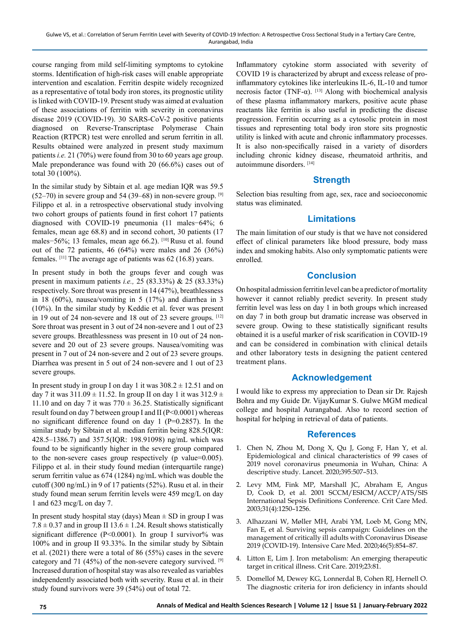course ranging from mild self-limiting symptoms to cytokine storms. Identification of high-risk cases will enable appropriate intervention and escalation. Ferritin despite widely recognized as a representative of total body iron stores, its prognostic utility is linked with COVID-19. Present study was aimed at evaluation of these associations of ferritin with severity in coronavirus disease 2019 (COVID-19). 30 SARS-CoV-2 positive patients diagnosed on Reverse-Transcriptase Polymerase Chain Reaction (RTPCR) test were enrolled and serum ferritin in all. Results obtained were analyzed in present study maximum patients *i.e.* 21 (70%) were found from 30 to 60 years age group. Male preponderance was found with 20 (66.6%) cases out of total 30 (100%).

In the similar study by Sibtain et al. age median IQR was 59.5  $(52–70)$  in severe group and 54 (39–68) in non-severe group. <sup>[9]</sup> Filippo et al. in a retrospective observational study involving two cohort groups of patients found in first cohort 17 patients diagnosed with COVID-19 pneumonia (11 males−64%; 6 females, mean age 68.8) and in second cohort, 30 patients (17 males−56%; 13 females, mean age 66.2). [10] Rusu et al. found out of the 72 patients, 46 (64%) were males and 26 (36%) females. [11] The average age of patients was 62 (16.8) years.

In present study in both the groups fever and cough was present in maximum patients *i.e.,* 25 (83.33%) & 25 (83.33%) respectively. Sore throat was present in 14 (47%), breathlessness in 18 (60%), nausea/vomiting in 5 (17%) and diarrhea in 3 (10%). In the similar study by Keddie et al. fever was present in 19 out of 24 non-severe and 18 out of 23 severe groups. [12] Sore throat was present in 3 out of 24 non-severe and 1 out of 23 severe groups. Breathlessness was present in 10 out of 24 nonsevere and 20 out of 23 severe groups. Nausea/vomiting was present in 7 out of 24 non-severe and 2 out of 23 severe groups. Diarrhea was present in 5 out of 24 non-severe and 1 out of 23 severe groups.

In present study in group I on day 1 it was  $308.2 \pm 12.51$  and on day 7 it was  $311.09 \pm 11.52$ . In group II on day 1 it was  $312.9 \pm 1.52$ . 11.10 and on day 7 it was  $770 \pm 36.25$ . Statistically significant result found on day 7 between group I and II (P<0.0001) whereas no significant difference found on day 1 (P=0.2857). In the similar study by Sibtain et al. median ferritin being 828.5(IQR: 428.5–1386.7) and 357.5(IQR: 198.91098) ng/mL which was found to be significantly higher in the severe group compared to the non-severe cases group respectively (p value=0.005). Filippo et al. in their study found median (interquartile range) serum ferritin value as 674 (1284) ng/mL which was double the cutoff (300 ng/mL) in 9 of 17 patients (52%). Rusu et al. in their study found mean serum ferritin levels were 459 mcg/L on day 1 and 623 mcg/L on day 7.

In present study hospital stay (days) Mean  $\pm$  SD in group I was  $7.8 \pm 0.37$  and in group II 13.6  $\pm$  1.24. Result shows statistically significant difference (P<0.0001). In group I survivor% was 100% and in group II 93.33%. In the similar study by Sibtain et al. (2021) there were a total of 86 (55%) cases in the severe category and 71 (45%) of the non-severe category survived. <sup>[9]</sup> Increased duration of hospital stay was also revealed as variables independently associated both with severity. Rusu et al. in their study found survivors were 39 (54%) out of total 72.

Inflammatory cytokine storm associated with severity of COVID 19 is characterized by abrupt and excess release of proinflammatory cytokines like interleukins IL-6, IL-10 and tumor necrosis factor (TNF- $\alpha$ ). <sup>[13]</sup> Along with biochemical analysis of these plasma inflammatory markers, positive acute phase reactants like ferritin is also useful in predicting the disease progression. Ferritin occurring as a cytosolic protein in most tissues and representing total body iron store sits prognostic utility is linked with acute and chronic inflammatory processes. It is also non-specifically raised in a variety of disorders including chronic kidney disease, rheumatoid arthritis, and autoimmune disorders. [14]

## **Strength**

Selection bias resulting from age, sex, race and socioeconomic status was eliminated.

## **Limitations**

The main limitation of our study is that we have not considered effect of clinical parameters like blood pressure, body mass index and smoking habits. Also only symptomatic patients were enrolled.

# **Conclusion**

On hospital admission ferritin level can be a predictor of mortality however it cannot reliably predict severity. In present study ferritin level was less on day 1 in both groups which increased on day 7 in both group but dramatic increase was observed in severe group. Owing to these statistically significant results obtained it is a useful marker of risk scarification in COVID-19 and can be considered in combination with clinical details and other laboratory tests in designing the patient centered treatment plans.

# **Acknowledgement**

I would like to express my appreciation to Dean sir Dr. Rajesh Bohra and my Guide Dr. VijayKumar S. Gulwe MGM medical college and hospital Aurangabad. Also to record section of hospital for helping in retrieval of data of patients.

### **References**

- 1. Chen N, Zhou M, Dong X, Qu J, Gong F, Han Y, et al. [Epidemiological and clinical characteristics of 99 cases of](https://www.sciencedirect.com/science/article/pii/S0140673620302117)  [2019 novel coronavirus pneumonia in Wuhan, China: A](https://www.sciencedirect.com/science/article/pii/S0140673620302117)  [descriptive study.](https://www.sciencedirect.com/science/article/pii/S0140673620302117) Lancet. 2020;395:507–513.
- 2. Levy MM, Fink MP, Marshall JC, Abraham E, Angus D, Cook D, et al. [2001 SCCM/ESICM/ACCP/ATS/SIS](https://link.springer.com/article/10.1007/s00134-003-1662-x)  [International Sepsis Definitions Conference.](https://link.springer.com/article/10.1007/s00134-003-1662-x) Crit Care Med. 2003;31(4):1250–1256.
- 3. Alhazzani W, Møller MH, Arabi YM, Loeb M, Gong MN, Fan E, et al. [Surviving sepsis campaign: Guidelines on the](https://link.springer.com/article/10.1007/s00134-020-06022-5/)  [management of critically ill adults with Coronavirus Disease](https://link.springer.com/article/10.1007/s00134-020-06022-5/)  [2019 \(COVID-19\).](https://link.springer.com/article/10.1007/s00134-020-06022-5/) Intensive Care Med. 2020;46(5):854–87.
- 4. Litton E, Lim J[. Iron metabolism: An emerging therapeutic](https://link.springer.com/chapter/10.1007/978-3-030-06067-1_44)  [target in critical illness.](https://link.springer.com/chapter/10.1007/978-3-030-06067-1_44) Crit Care. 2019;23:81.
- 5. Domellof M, Dewey KG, Lonnerdal B, Cohen RJ, Hernell O. [The diagnostic criteria for iron deficiency in infants should](https://academic.oup.com/jn/article/132/12/3680/4712110?login=true)